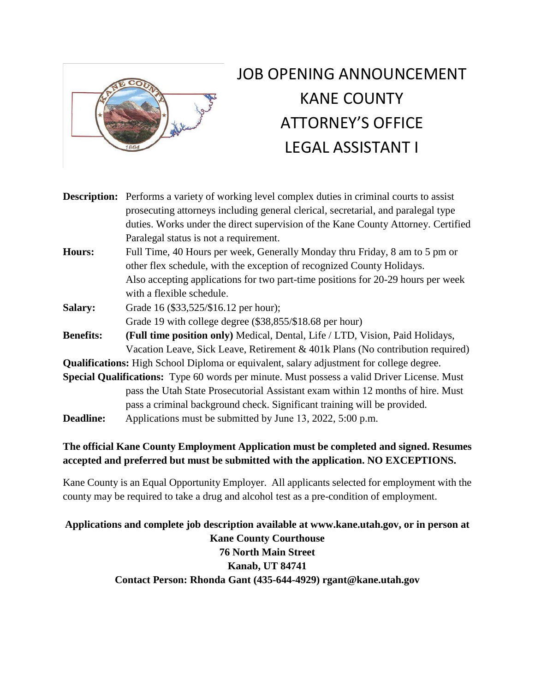

# JOB OPENING ANNOUNCEMENT KANE COUNTY ATTORNEY'S OFFICE LEGAL ASSISTANT I

**Description:** Performs a variety of working level complex duties in criminal courts to assist prosecuting attorneys including general clerical, secretarial, and paralegal type duties. Works under the direct supervision of the Kane County Attorney. Certified Paralegal status is not a requirement. **Hours:** Full Time, 40 Hours per week, Generally Monday thru Friday, 8 am to 5 pm or other flex schedule, with the exception of recognized County Holidays.

Also accepting applications for two part-time positions for 20-29 hours per week with a flexible schedule.

**Salary:** Grade 16 (\$33,525/\$16.12 per hour); Grade 19 with college degree (\$38,855/\$18.68 per hour)

**Benefits: (Full time position only)** Medical, Dental, Life / LTD, Vision, Paid Holidays, Vacation Leave, Sick Leave, Retirement & 401k Plans (No contribution required)

**Qualifications:** High School Diploma or equivalent, salary adjustment for college degree.

**Special Qualifications:** Type 60 words per minute. Must possess a valid Driver License. Must pass the Utah State Prosecutorial Assistant exam within 12 months of hire. Must pass a criminal background check. Significant training will be provided. **Deadline:** Applications must be submitted by June 13, 2022, 5:00 p.m.

## **The official Kane County Employment Application must be completed and signed. Resumes accepted and preferred but must be submitted with the application. NO EXCEPTIONS.**

Kane County is an Equal Opportunity Employer. All applicants selected for employment with the county may be required to take a drug and alcohol test as a pre-condition of employment.

## **Applications and complete job description available at www.kane.utah.gov, or in person at Kane County Courthouse 76 North Main Street Kanab, UT 84741 Contact Person: Rhonda Gant (435-644-4929) rgant@kane.utah.gov**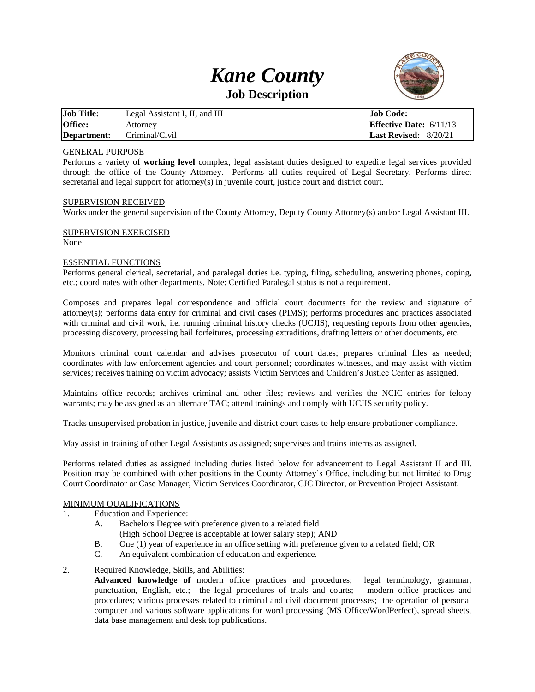## *Kane County* **Job Description**



| <b>Job Title:</b> | Legal Assistant I, II, and III | Job Code:                        |
|-------------------|--------------------------------|----------------------------------|
| <b>Office:</b>    | Attornev                       | <b>Effective Date:</b> $6/11/13$ |
| Department:       | Criminal/Civil                 | <b>Last Revised:</b> $8/20/21$   |

#### GENERAL PURPOSE

Performs a variety of **working level** complex, legal assistant duties designed to expedite legal services provided through the office of the County Attorney. Performs all duties required of Legal Secretary. Performs direct secretarial and legal support for attorney(s) in juvenile court, justice court and district court.

#### SUPERVISION RECEIVED

Works under the general supervision of the County Attorney, Deputy County Attorney(s) and/or Legal Assistant III.

#### SUPERVISION EXERCISED

None

#### ESSENTIAL FUNCTIONS

Performs general clerical, secretarial, and paralegal duties i.e. typing, filing, scheduling, answering phones, coping, etc.; coordinates with other departments. Note: Certified Paralegal status is not a requirement.

Composes and prepares legal correspondence and official court documents for the review and signature of attorney(s); performs data entry for criminal and civil cases (PIMS); performs procedures and practices associated with criminal and civil work, i.e. running criminal history checks (UCJIS), requesting reports from other agencies, processing discovery, processing bail forfeitures, processing extraditions, drafting letters or other documents, etc.

Monitors criminal court calendar and advises prosecutor of court dates; prepares criminal files as needed; coordinates with law enforcement agencies and court personnel; coordinates witnesses, and may assist with victim services; receives training on victim advocacy; assists Victim Services and Children's Justice Center as assigned.

Maintains office records; archives criminal and other files; reviews and verifies the NCIC entries for felony warrants; may be assigned as an alternate TAC; attend trainings and comply with UCJIS security policy.

Tracks unsupervised probation in justice, juvenile and district court cases to help ensure probationer compliance.

May assist in training of other Legal Assistants as assigned; supervises and trains interns as assigned.

Performs related duties as assigned including duties listed below for advancement to Legal Assistant II and III. Position may be combined with other positions in the County Attorney's Office, including but not limited to Drug Court Coordinator or Case Manager, Victim Services Coordinator, CJC Director, or Prevention Project Assistant.

#### MINIMUM QUALIFICATIONS

- 1. Education and Experience:
	- A. Bachelors Degree with preference given to a related field
		- (High School Degree is acceptable at lower salary step); AND
	- B. One (1) year of experience in an office setting with preference given to a related field; OR
	- C. An equivalent combination of education and experience.

#### 2. Required Knowledge, Skills, and Abilities:

**Advanced knowledge of** modern office practices and procedures; legal terminology, grammar, punctuation, English, etc.; the legal procedures of trials and courts; modern office practices and procedures; various processes related to criminal and civil document processes; the operation of personal computer and various software applications for word processing (MS Office/WordPerfect), spread sheets, data base management and desk top publications.